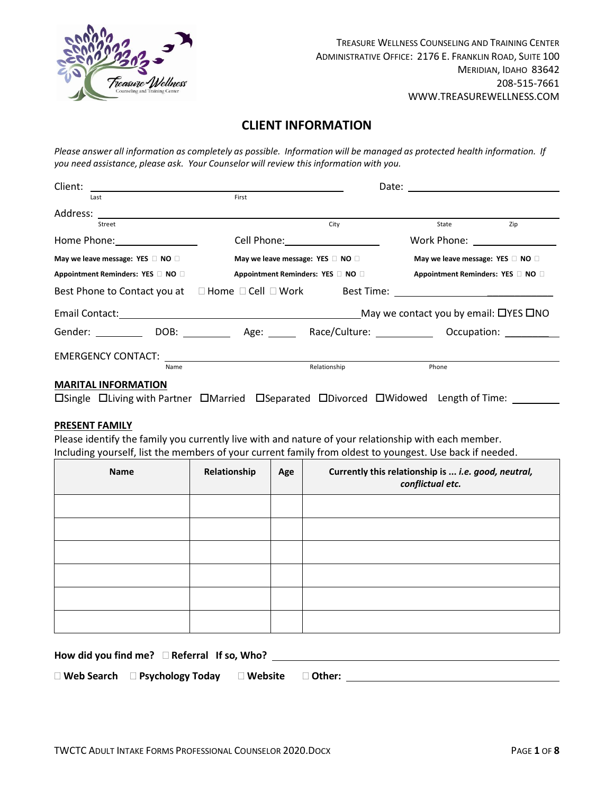

# **CLIENT INFORMATION**

Please answer all information as completely as possible. Information will be managed as protected health information. If *you need assistance, please ask. Your Counselor will review this information with you.*

| Client:                                                                                                                                                                                                                        |                                            |                                                                                                                 | Date:                                             |             |
|--------------------------------------------------------------------------------------------------------------------------------------------------------------------------------------------------------------------------------|--------------------------------------------|-----------------------------------------------------------------------------------------------------------------|---------------------------------------------------|-------------|
| Last                                                                                                                                                                                                                           | First                                      |                                                                                                                 |                                                   |             |
| Address:                                                                                                                                                                                                                       |                                            |                                                                                                                 |                                                   |             |
| Street                                                                                                                                                                                                                         |                                            | City                                                                                                            | State                                             | Zip         |
| Home Phone: Now You have the Second Second Second Second Second Second Second Second Second Second Second Second Second Second Second Second Second Second Second Second Second Second Second Second Second Second Second Seco |                                            | Cell Phone: The Contract of the Contract of the Contract of the Contract of the Contract of the Contract of the | Work Phone: Work Phone:                           |             |
| May we leave message: YES $\Box$ NO $\Box$                                                                                                                                                                                     | May we leave message: YES $\Box$ NO $\Box$ |                                                                                                                 | May we leave message: YES $\square$ NO $\square$  |             |
| Appointment Reminders: YES D NO D                                                                                                                                                                                              |                                            | Appointment Reminders: YES □ NO □                                                                               | Appointment Reminders: YES I NO                   |             |
| Best Phone to Contact you at □ Home □ Cell □ Work                                                                                                                                                                              |                                            |                                                                                                                 |                                                   |             |
|                                                                                                                                                                                                                                |                                            |                                                                                                                 | May we contact you by email: $\Box$ YES $\Box$ NO |             |
| Gender: DOB: Age:                                                                                                                                                                                                              |                                            | Race/Culture: Nace                                                                                              |                                                   | Occupation: |
|                                                                                                                                                                                                                                |                                            |                                                                                                                 |                                                   |             |
| Name                                                                                                                                                                                                                           |                                            | Relationship                                                                                                    | Phone                                             |             |
| <b>MARITAL INFORMATION</b>                                                                                                                                                                                                     |                                            |                                                                                                                 |                                                   |             |

DSingle DLiving with Partner DMarried DSeparated DDivorced DWidowed Length of Time: \_\_\_\_\_\_\_\_

### **PRESENT FAMILY**

Please identify the family you currently live with and nature of your relationship with each member. Including yourself, list the members of your current family from oldest to youngest. Use back if needed.

| Name | Relationship | Age | Currently this relationship is  i.e. good, neutral,<br>conflictual etc. |
|------|--------------|-----|-------------------------------------------------------------------------|
|      |              |     |                                                                         |
|      |              |     |                                                                         |
|      |              |     |                                                                         |
|      |              |     |                                                                         |
|      |              |     |                                                                         |
|      |              |     |                                                                         |

**How did you find me? Referral If so, Who?** 

**Web Search Psychology Today Website Other:**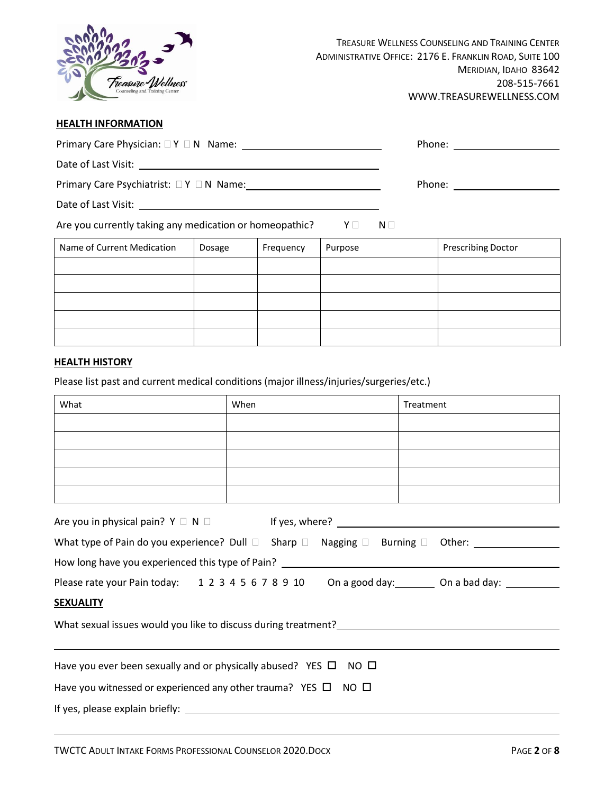

## **HEALTH INFORMATION**

| Are you currently taking any medication or homeopathic? $Y \Box$                        |        |      |           |         | $N \Box$ |           |                           |  |
|-----------------------------------------------------------------------------------------|--------|------|-----------|---------|----------|-----------|---------------------------|--|
| Name of Current Medication                                                              | Dosage |      | Frequency | Purpose |          |           | <b>Prescribing Doctor</b> |  |
|                                                                                         |        |      |           |         |          |           |                           |  |
|                                                                                         |        |      |           |         |          |           |                           |  |
|                                                                                         |        |      |           |         |          |           |                           |  |
|                                                                                         |        |      |           |         |          |           |                           |  |
|                                                                                         |        |      |           |         |          |           |                           |  |
| <b>HEALTH HISTORY</b>                                                                   |        |      |           |         |          |           |                           |  |
| Please list past and current medical conditions (major illness/injuries/surgeries/etc.) |        |      |           |         |          |           |                           |  |
| What                                                                                    |        | When |           |         |          | Treatment |                           |  |
|                                                                                         |        |      |           |         |          |           |                           |  |
|                                                                                         |        |      |           |         |          |           |                           |  |
|                                                                                         |        |      |           |         |          |           |                           |  |

| How long have you experienced this type of Pain? _______________________________  |  |  |  |  |  |  |
|-----------------------------------------------------------------------------------|--|--|--|--|--|--|
| Please rate your Pain today: 1 2 3 4 5 6 7 8 9 10 On a good day: 0n a bad day: 11 |  |  |  |  |  |  |
| <b>SEXUALITY</b>                                                                  |  |  |  |  |  |  |
|                                                                                   |  |  |  |  |  |  |
|                                                                                   |  |  |  |  |  |  |
| Have you ever been sexually and or physically abused? YES $\square$ NO $\square$  |  |  |  |  |  |  |
| Have you witnessed or experienced any other trauma? YES $\Box$ NO $\Box$          |  |  |  |  |  |  |

If yes, please explain briefly: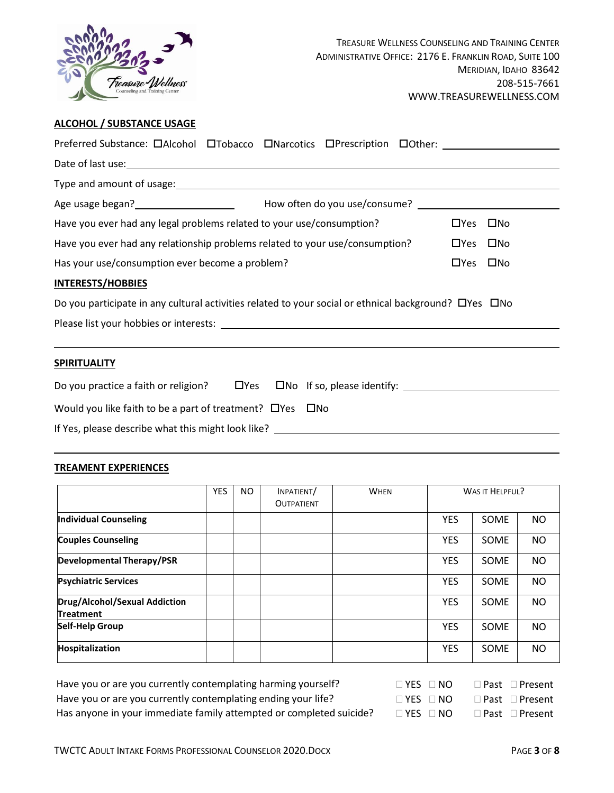

## **ALCOHOL / SUBSTANCE USAGE**

| Preferred Substance: DAIcohol DTobacco DNarcotics DPrescription DOther: 1988 1999 1999                                                                                                                                                 |  |  |  |            |              |
|----------------------------------------------------------------------------------------------------------------------------------------------------------------------------------------------------------------------------------------|--|--|--|------------|--------------|
|                                                                                                                                                                                                                                        |  |  |  |            |              |
| Type and amount of usage: example and amount of usage:                                                                                                                                                                                 |  |  |  |            |              |
| Age usage began?<br><u>Letter and the summan and the set of the set of the set of the set of the set of the set of the set of the set of the set of the set of the set of the set of the set of the set of the set of the set of t</u> |  |  |  |            |              |
| Have you ever had any legal problems related to your use/consumption?                                                                                                                                                                  |  |  |  | $\Box$ Yes | □No          |
| Have you ever had any relationship problems related to your use/consumption?<br>$\Box$ Yes $\Box$ No                                                                                                                                   |  |  |  |            |              |
| Has your use/consumption ever become a problem?                                                                                                                                                                                        |  |  |  | $\Box$ Yes | $\square$ No |
| <b>INTERESTS/HOBBIES</b>                                                                                                                                                                                                               |  |  |  |            |              |
| Do you participate in any cultural activities related to your social or ethnical background? O'Yes ONO                                                                                                                                 |  |  |  |            |              |
|                                                                                                                                                                                                                                        |  |  |  |            |              |
|                                                                                                                                                                                                                                        |  |  |  |            |              |
| <b>SPIRITUALITY</b>                                                                                                                                                                                                                    |  |  |  |            |              |
| Do you practice a faith or religion? $\Box$ Yes $\Box$ No If so, please identify: $\Box$                                                                                                                                               |  |  |  |            |              |
| Would you like faith to be a part of treatment? $\Box$ Yes $\Box$ No                                                                                                                                                                   |  |  |  |            |              |
|                                                                                                                                                                                                                                        |  |  |  |            |              |

### **TREAMENT EXPERIENCES**

|                                                   | <b>YES</b> | NO. | INPATIENT/        | <b>WHEN</b> |            | <b>WAS IT HELPFUL?</b> |           |
|---------------------------------------------------|------------|-----|-------------------|-------------|------------|------------------------|-----------|
|                                                   |            |     | <b>OUTPATIENT</b> |             |            |                        |           |
| <b>Individual Counseling</b>                      |            |     |                   |             | <b>YES</b> | <b>SOME</b>            | NO        |
| <b>Couples Counseling</b>                         |            |     |                   |             | <b>YES</b> | SOME                   | NO.       |
| <b>Developmental Therapy/PSR</b>                  |            |     |                   |             | <b>YES</b> | <b>SOME</b>            | <b>NO</b> |
| <b>Psychiatric Services</b>                       |            |     |                   |             | <b>YES</b> | <b>SOME</b>            | <b>NO</b> |
| Drug/Alcohol/Sexual Addiction<br><b>Treatment</b> |            |     |                   |             | <b>YES</b> | SOME                   | NO.       |
| <b>Self-Help Group</b>                            |            |     |                   |             | <b>YES</b> | <b>SOME</b>            | <b>NO</b> |
| Hospitalization                                   |            |     |                   |             | <b>YES</b> | SOME                   | <b>NO</b> |

Have you or are you currently contemplating harming yourself? Have you or are you currently contemplating ending your life? Has anyone in your immediate family attempted or completed suicide?

| $\Box$ YES $\Box$ NO |  | $\Box$ Past $\Box$ Present |
|----------------------|--|----------------------------|
| $\Box$ YES $\Box$ NO |  | $\Box$ Past $\Box$ Present |
| $\Box$ YES $\Box$ NO |  | $\Box$ Past $\Box$ Present |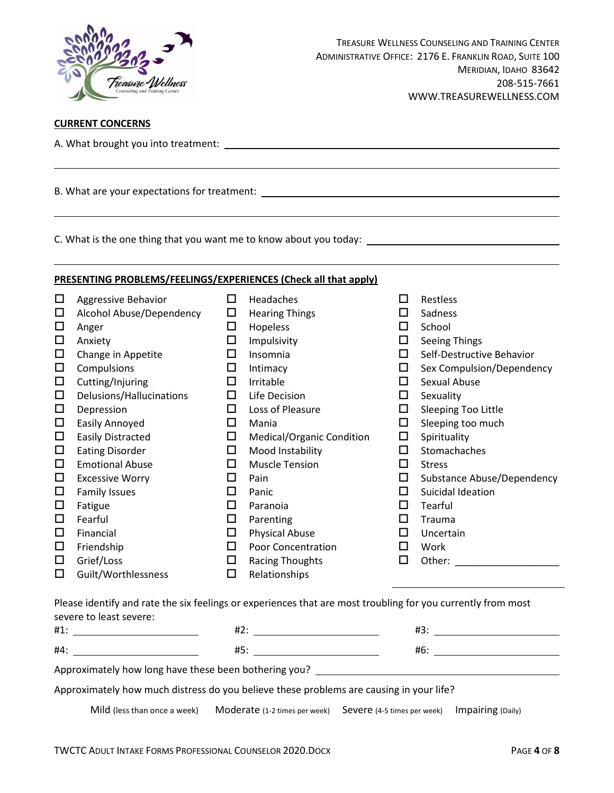

## **CURRENT CONCERNS**

A. What brought you into treatment:

B. What are your expectations for treatment:

C. What is the one thing that you want me to know about you today:

### **PRESENTING PROBLEMS/FEELINGS/EXPERIENCES (Check all that apply)**

| □      | Aggressive Behavior      | □ | Headaches                 | П            | Restless                   |
|--------|--------------------------|---|---------------------------|--------------|----------------------------|
| $\Box$ | Alcohol Abuse/Dependency | □ | <b>Hearing Things</b>     |              | Sadness                    |
| □      | Anger                    | □ | Hopeless                  | $\mathbf{L}$ | School                     |
| $\Box$ | Anxiety                  | □ | Impulsivity               | ப            | <b>Seeing Things</b>       |
| $\Box$ | Change in Appetite       | □ | Insomnia                  | Ħ            | Self-Destructive Behavior  |
| $\Box$ | Compulsions              | □ | Intimacy                  | ⊔            | Sex Compulsion/Dependency  |
| $\Box$ | Cutting/Injuring         | □ | Irritable                 | Ħ            | Sexual Abuse               |
| □      | Delusions/Hallucinations | □ | Life Decision             | ப            | Sexuality                  |
| $\Box$ | Depression               | □ | Loss of Pleasure          | ⊔            | Sleeping Too Little        |
| □      | Easily Annoyed           | ப | Mania                     | ப            | Sleeping too much          |
| $\Box$ | <b>Easily Distracted</b> | □ | Medical/Organic Condition | □            | Spirituality               |
| $\Box$ | <b>Eating Disorder</b>   | □ | Mood Instability          | $\mathbf{L}$ | Stomachaches               |
| $\Box$ | <b>Emotional Abuse</b>   | □ | <b>Muscle Tension</b>     | ⊔            | <b>Stress</b>              |
| $\Box$ | <b>Excessive Worry</b>   | □ | Pain                      | ⊔            | Substance Abuse/Dependency |
| $\Box$ | <b>Family Issues</b>     | ப | Panic                     | ப            | Suicidal Ideation          |
| $\Box$ | Fatigue                  | □ | Paranoia                  | $\mathbf{L}$ | Tearful                    |
| $\Box$ | Fearful                  | □ | Parenting                 | $\mathbf{L}$ | Trauma                     |
| □      | Financial                | □ | <b>Physical Abuse</b>     | $\mathbf{L}$ | Uncertain                  |
| □      | Friendship               | ப | <b>Poor Concentration</b> |              | Work                       |
| □      | Grief/Loss               | □ | <b>Racing Thoughts</b>    | ΙI           | Other:                     |
| □      | Guilt/Worthlessness      | □ | Relationships             |              |                            |

Please identify and rate the six feelings or experiences that are most troubling for you currently from most severe to least severe:

| #1:                                                                                     | #2: | #3: |  |  |  |  |
|-----------------------------------------------------------------------------------------|-----|-----|--|--|--|--|
| #4:                                                                                     | #5: | #6: |  |  |  |  |
| Approximately how long have these been bothering you?                                   |     |     |  |  |  |  |
| Approximately how much distress do you believe these problems are causing in your life? |     |     |  |  |  |  |

Mild (less than once a week) Moderate (1-2 times per week) Severe (4-5 times per week) Impairing (Daily)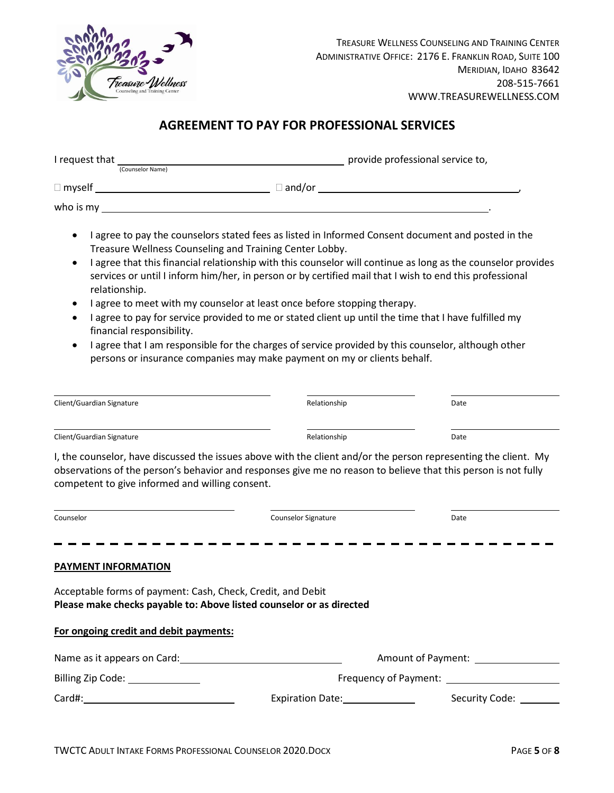

# **AGREEMENT TO PAY FOR PROFESSIONAL SERVICES**

| I request that | (Counselor Name) |                    | provide professional service to, |  |
|----------------|------------------|--------------------|----------------------------------|--|
| $\Box$ myself  |                  | $\sqsupset$ and/or |                                  |  |
| who is my      |                  |                    |                                  |  |

- I agree to pay the counselors stated fees as listed in Informed Consent document and posted in the Treasure Wellness Counseling and Training Center Lobby.
- I agree that this financial relationship with this counselor will continue as long as the counselor provides services or until I inform him/her, in person or by certified mail that I wish to end this professional relationship.
- I agree to meet with my counselor at least once before stopping therapy.
- I agree to pay for service provided to me or stated client up until the time that I have fulfilled my financial responsibility.
- I agree that I am responsible for the charges of service provided by this counselor, although other persons or insurance companies may make payment on my or clients behalf.

| Client/Guardian Signature                                                                                                                                                                                                         | Relationship | Date |  |  |  |  |
|-----------------------------------------------------------------------------------------------------------------------------------------------------------------------------------------------------------------------------------|--------------|------|--|--|--|--|
| Client/Guardian Signature                                                                                                                                                                                                         | Relationship | Date |  |  |  |  |
| I, the counselor, have discussed the issues above with the client and/or the person representing the client. My<br>observations of the person's behavior and responses give me no reason to believe that this person is not fully |              |      |  |  |  |  |

competent to give informed and willing consent.

| Counselor                                                                                                                           | <b>Counselor Signature</b> | Date           |  |  |  |  |  |
|-------------------------------------------------------------------------------------------------------------------------------------|----------------------------|----------------|--|--|--|--|--|
| <b>PAYMENT INFORMATION</b>                                                                                                          |                            |                |  |  |  |  |  |
| Acceptable forms of payment: Cash, Check, Credit, and Debit<br>Please make checks payable to: Above listed counselor or as directed |                            |                |  |  |  |  |  |
| For ongoing credit and debit payments:                                                                                              |                            |                |  |  |  |  |  |
| Name as it appears on Card:                                                                                                         | Amount of Payment:         |                |  |  |  |  |  |
|                                                                                                                                     | Frequency of Payment:      |                |  |  |  |  |  |
| Card#:                                                                                                                              | Expiration Date:           | Security Code: |  |  |  |  |  |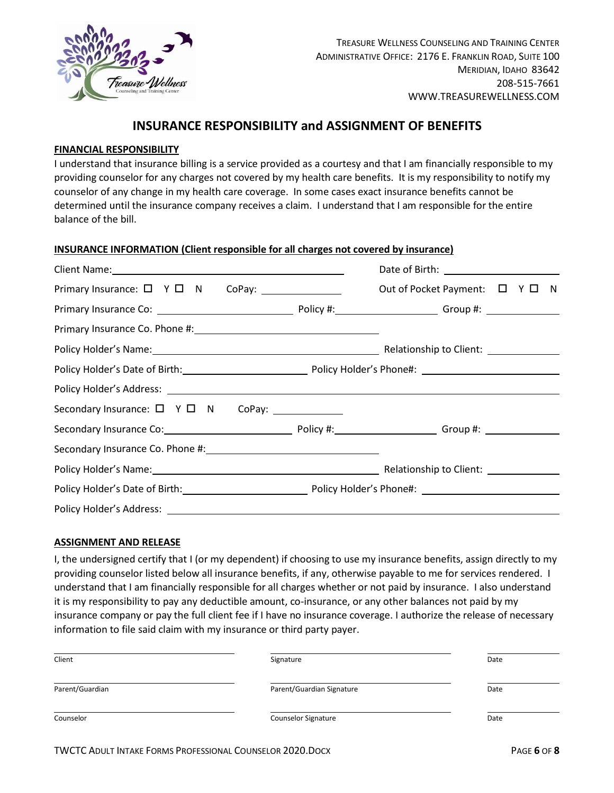

## **INSURANCE RESPONSIBILITY and ASSIGNMENT OF BENEFITS**

### **FINANCIAL RESPONSIBILITY**

I understand that insurance billing is a service provided as a courtesy and that I am financially responsible to my providing counselor for any charges not covered by my health care benefits. It is my responsibility to notify my counselor of any change in my health care coverage. In some cases exact insurance benefits cannot be determined until the insurance company receives a claim. I understand that I am responsible for the entire balance of the bill.

### **INSURANCE INFORMATION (Client responsible for all charges not covered by insurance)**

| Client Name: Name and South Allen Client Name and South Allen Client Name and South Allen Client Allen Communications and South Allen Communications and South Allen Communications and South Allen Communications and South A |                                |
|--------------------------------------------------------------------------------------------------------------------------------------------------------------------------------------------------------------------------------|--------------------------------|
|                                                                                                                                                                                                                                | Out of Pocket Payment: □ Y □ N |
|                                                                                                                                                                                                                                |                                |
|                                                                                                                                                                                                                                |                                |
|                                                                                                                                                                                                                                |                                |
|                                                                                                                                                                                                                                |                                |
|                                                                                                                                                                                                                                |                                |
|                                                                                                                                                                                                                                |                                |
|                                                                                                                                                                                                                                |                                |
|                                                                                                                                                                                                                                |                                |
|                                                                                                                                                                                                                                |                                |
|                                                                                                                                                                                                                                |                                |
|                                                                                                                                                                                                                                |                                |

### **ASSIGNMENT AND RELEASE**

I, the undersigned certify that I (or my dependent) if choosing to use my insurance benefits, assign directly to my providing counselor listed below all insurance benefits, if any, otherwise payable to me for services rendered. I understand that I am financially responsible for all charges whether or not paid by insurance. I also understand it is my responsibility to pay any deductible amount, co-insurance, or any other balances not paid by my insurance company or pay the full client fee if I have no insurance coverage. I authorize the release of necessary information to file said claim with my insurance or third party payer.

| Client          | Signature                 | Date |
|-----------------|---------------------------|------|
| Parent/Guardian | Parent/Guardian Signature | Date |
| Counselor       | Counselor Signature       | Date |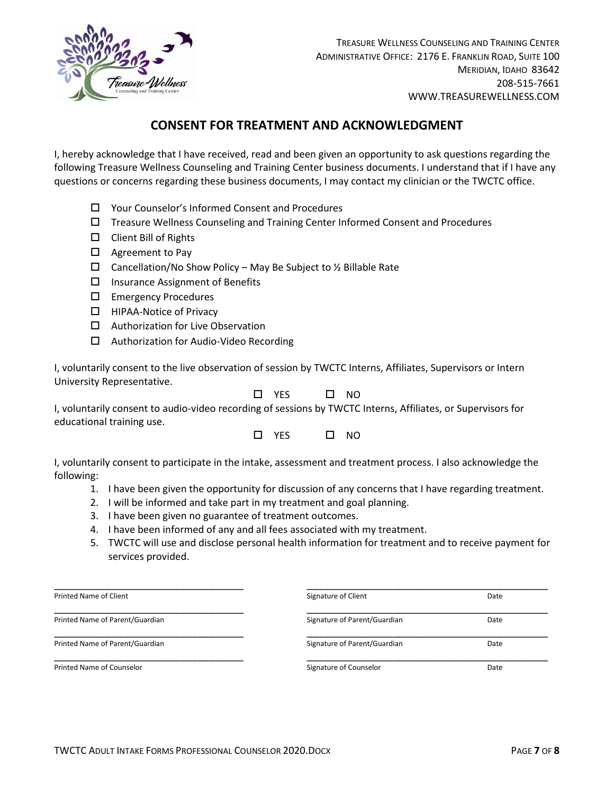

# **CONSENT FOR TREATMENT AND ACKNOWLEDGMENT**

I, hereby acknowledge that I have received, read and been given an opportunity to ask questions regarding the following Treasure Wellness Counseling and Training Center business documents. I understand that if I have any questions or concerns regarding these business documents, I may contact my clinician or the TWCTC office.

- Your Counselor's Informed Consent and Procedures
- $\Box$  Treasure Wellness Counseling and Training Center Informed Consent and Procedures
- Client Bill of Rights
- $\Box$  Agreement to Pay
- $\Box$  Cancellation/No Show Policy May Be Subject to ½ Billable Rate
- $\square$  Insurance Assignment of Benefits
- Emergency Procedures
- □ HIPAA-Notice of Privacy
- $\Box$  Authorization for Live Observation
- □ Authorization for Audio-Video Recording

I, voluntarily consent to the live observation of session by TWCTC Interns, Affiliates, Supervisors or Intern University Representative.

| YFS | <sub>NO</sub> |
|-----|---------------|
|     |               |

I, voluntarily consent to audio-video recording of sessions by TWCTC Interns, Affiliates, or Supervisors for educational training use.

| <b>YES</b> | NO. |
|------------|-----|
|            |     |

I, voluntarily consent to participate in the intake, assessment and treatment process. I also acknowledge the following:

- 1. I have been given the opportunity for discussion of any concerns that I have regarding treatment.
- 2. I will be informed and take part in my treatment and goal planning.
- 3. I have been given no guarantee of treatment outcomes.
- 4. I have been informed of any and all fees associated with my treatment.
- 5. TWCTC will use and disclose personal health information for treatment and to receive payment for services provided.

| Printed Name of Client          | Signature of Client          | Date |
|---------------------------------|------------------------------|------|
| Printed Name of Parent/Guardian | Signature of Parent/Guardian | Date |
| Printed Name of Parent/Guardian | Signature of Parent/Guardian | Date |
| Printed Name of Counselor       | Signature of Counselor       | Date |